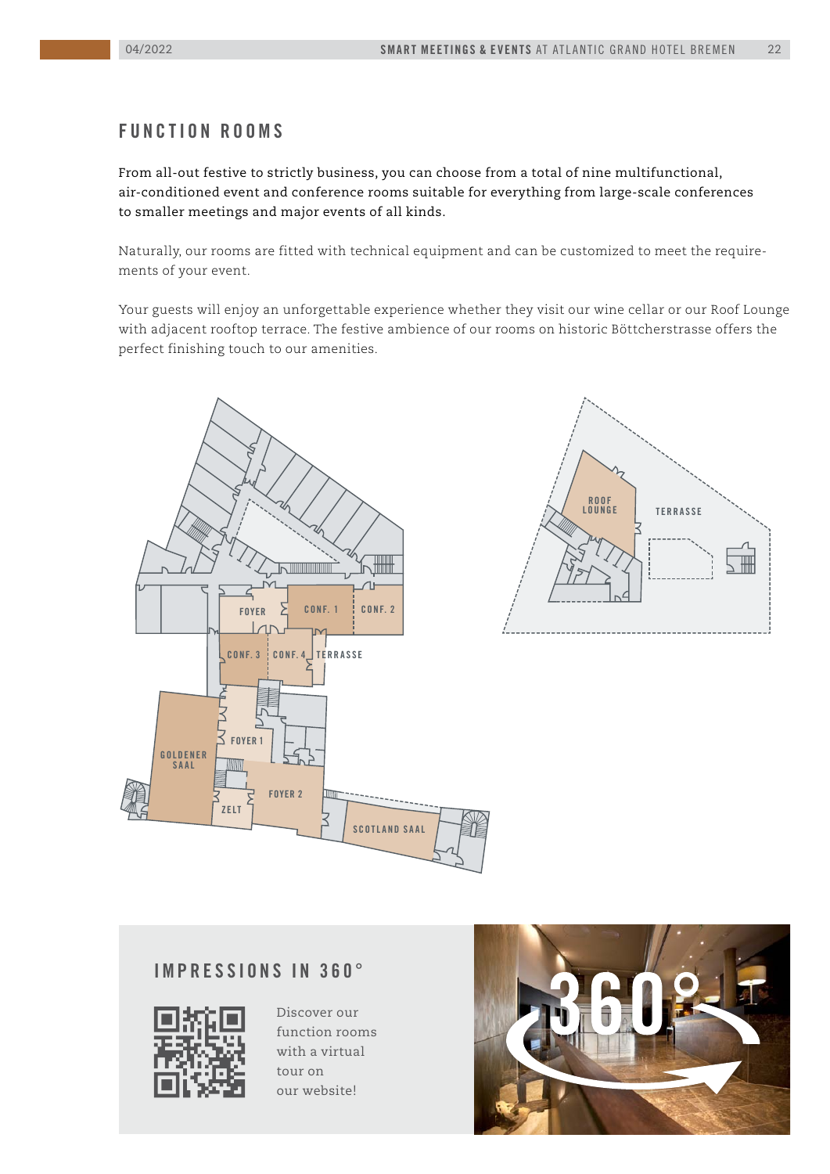#### **f u n c ti o n r o o ms**

From all-out festive to strictly business, you can choose from a total of nine multifunctional, air-conditioned event and conference rooms suitable for everything from large-scale conferences to smaller meetings and major events of all kinds.

Naturally, our rooms are fitted with technical equipment and can be customized to meet the requirements of your event.

Your guests will enjoy an unforgettable experience whether they visit our wine cellar or our Roof Lounge with adjacent rooftop terrace. The festive ambience of our rooms on historic Böttcherstrasse offers the perfect finishing touch to our amenities.





#### **IMPRESSIONS IN 360°**



Discover our function rooms with a virtual tour on our website!

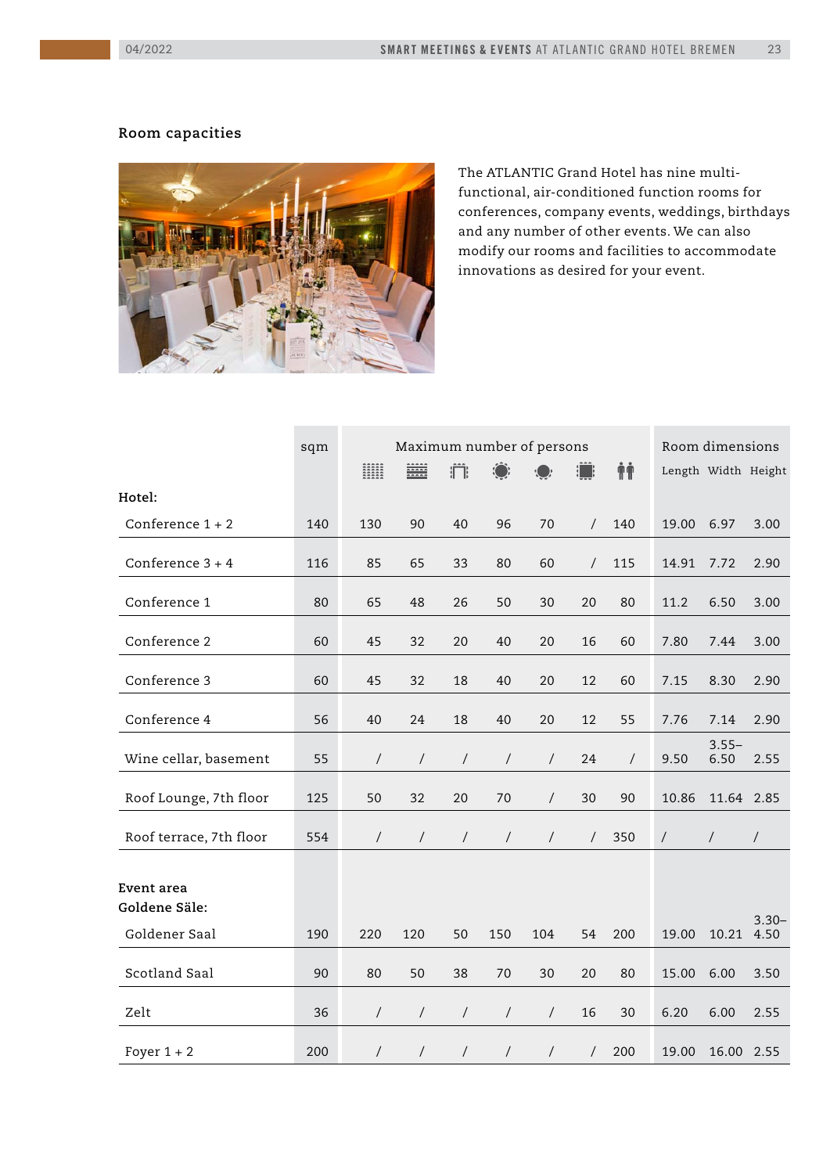#### **Room capacities**



The ATLANTIC Grand Hotel has nine multifunctional, air-conditioned function rooms for conferences, company events, weddings, birthdays and any number of other events. We can also modify our rooms and facilities to accommodate innovations as desired for your event.

|                                              | sqm | Maximum number of persons |                |                    |                      |                | Room dimensions |          |                |                     |                  |
|----------------------------------------------|-----|---------------------------|----------------|--------------------|----------------------|----------------|-----------------|----------|----------------|---------------------|------------------|
|                                              |     | <b>EXAMPLE</b>            | ₩              | $\hat{\mathbb{m}}$ |                      |                |                 | ŤŤ       |                | Length Width Height |                  |
| Hotel:                                       |     |                           |                |                    |                      |                |                 |          |                |                     |                  |
| Conference $1 + 2$                           | 140 | 130                       | 90             | 40                 | 96                   | 70             | $\sqrt{2}$      | 140      | 19.00          | 6.97                | 3.00             |
| Conference $3 + 4$                           | 116 | 85                        | 65             | 33                 | 80                   | 60             | $\sqrt{2}$      | 115      | 14.91          | 7.72                | 2.90             |
| Conference 1                                 | 80  | 65                        | 48             | 26                 | 50                   | 30             | 20              | 80       | 11.2           | 6.50                | 3.00             |
| Conference 2                                 | 60  | 45                        | 32             | 20                 | 40                   | 20             | 16              | 60       | 7.80           | 7.44                | 3.00             |
| Conference 3                                 | 60  | 45                        | 32             | 18                 | 40                   | 20             | 12              | 60       | 7.15           | 8.30                | 2.90             |
| Conference 4                                 | 56  | 40                        | 24             | 18                 | 40                   | 20             | 12              | 55       | 7.76           | 7.14                | 2.90             |
| Wine cellar, basement                        | 55  | $\sqrt{2}$                | $\sqrt{2}$     | $\overline{1}$     | $\overline{1}$       | $\overline{1}$ | 24              | $\prime$ | 9.50           | $3.55 -$<br>6.50    | 2.55             |
| Roof Lounge, 7th floor                       | 125 | 50                        | 32             | 20                 | 70                   | $\overline{1}$ | 30              | 90       | 10.86          | 11.64 2.85          |                  |
| Roof terrace, 7th floor                      | 554 | $\overline{1}$            | $\sqrt{2}$     | $\sqrt{2}$         | $\sqrt{2}$           | $\overline{1}$ | $\sqrt{2}$      | 350      | $\overline{1}$ | $\overline{ }$      | $\sqrt{2}$       |
| Event area<br>Goldene Säle:<br>Goldener Saal | 190 | 220                       | 120            | 50                 | 150                  | 104            | 54              | 200      | 19.00          | 10.21               | $3.30 -$<br>4.50 |
| Scotland Saal                                | 90  | 80                        | 50             | 38                 | 70                   | 30             | 20              | 80       | 15.00          | 6.00                | 3.50             |
| Zelt                                         | 36  | $\overline{1}$            | $\sqrt{2}$     | $\sqrt{2}$         | $\overline{1}$       | $\overline{1}$ | 16              | 30       | 6.20           | 6.00                | 2.55             |
| Foyer $1 + 2$                                | 200 | $\overline{1}$            | $\overline{1}$ | $\overline{1}$     | $\sqrt{\phantom{a}}$ | $\prime$       | $\sqrt{2}$      | 200      | 19.00          | 16.00               | 2.55             |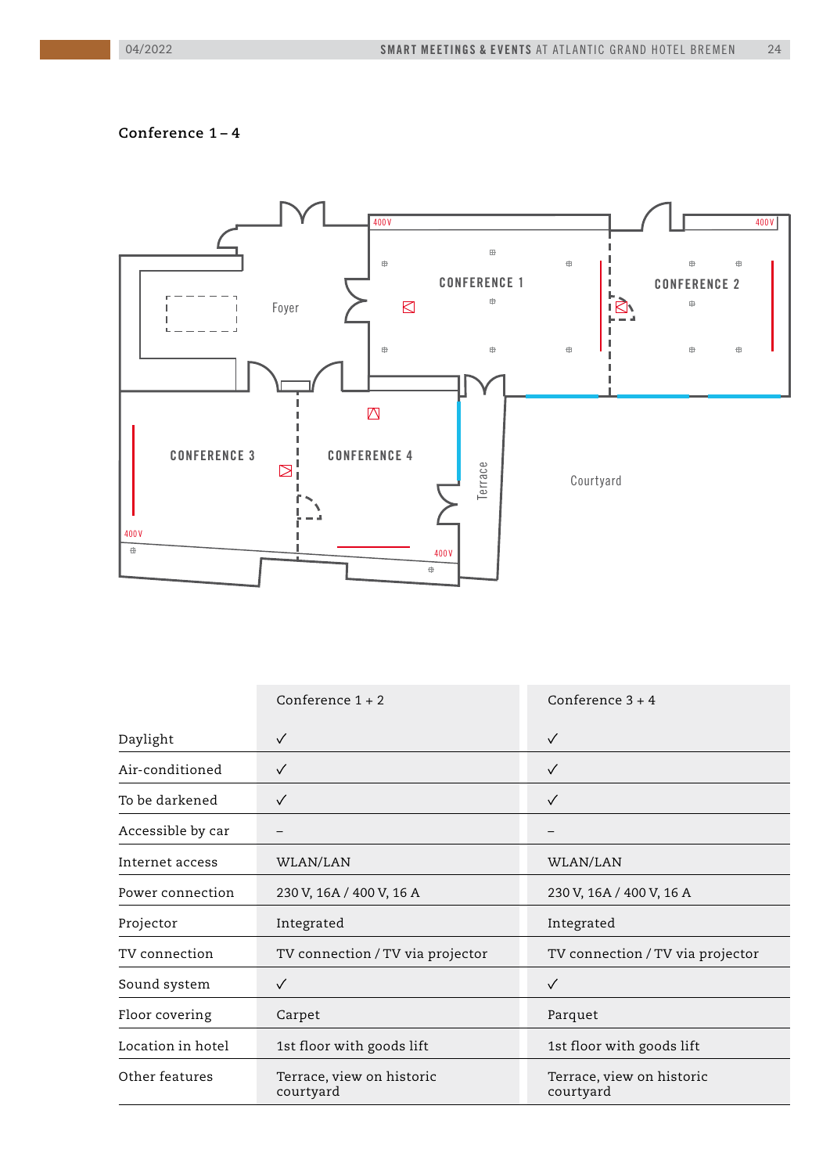#### **Conference 1 – 4**



|                   | Conference $1 + 2$                     | Conference $3 + 4$                     |  |  |
|-------------------|----------------------------------------|----------------------------------------|--|--|
| Daylight          | $\checkmark$                           | $\checkmark$                           |  |  |
| Air-conditioned   | $\checkmark$                           | $\checkmark$                           |  |  |
| To be darkened    | $\checkmark$                           | $\checkmark$                           |  |  |
| Accessible by car |                                        |                                        |  |  |
| Internet access   | WLAN/LAN                               | WLAN/LAN                               |  |  |
| Power connection  | 230 V, 16A / 400 V, 16 A               | 230 V, 16A / 400 V, 16 A               |  |  |
| Projector         | Integrated                             | Integrated                             |  |  |
| TV connection     | TV connection / TV via projector       | TV connection / TV via projector       |  |  |
| Sound system      | $\checkmark$                           | $\checkmark$                           |  |  |
| Floor covering    | Carpet                                 | Parquet                                |  |  |
| Location in hotel | 1st floor with goods lift              | 1st floor with goods lift              |  |  |
| Other features    | Terrace, view on historic<br>courtyard | Terrace, view on historic<br>courtyard |  |  |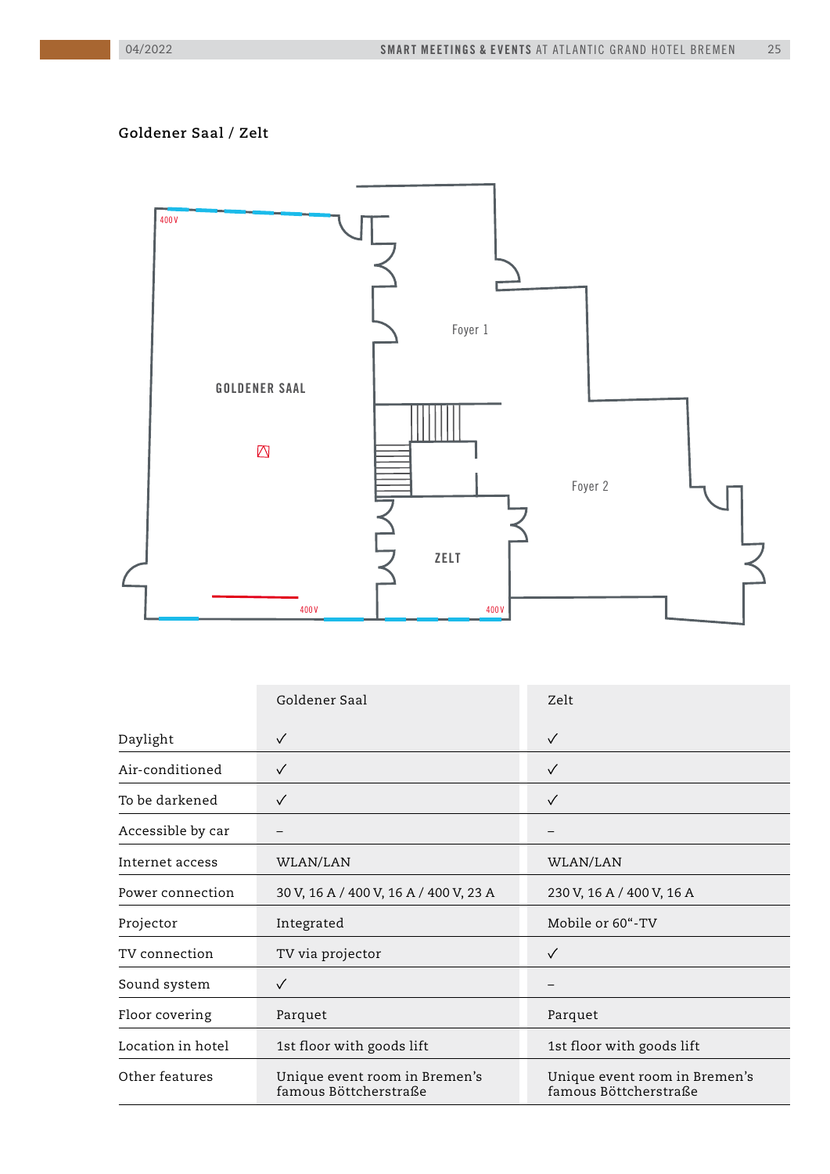## **Goldener Saal / Zelt**



| Goldener Saal     |                                                        | Zelt                                                   |  |  |
|-------------------|--------------------------------------------------------|--------------------------------------------------------|--|--|
| Daylight          | $\checkmark$                                           | $\checkmark$                                           |  |  |
| Air-conditioned   | $\checkmark$                                           | $\checkmark$                                           |  |  |
| To be darkened    | $\checkmark$                                           | $\checkmark$                                           |  |  |
| Accessible by car |                                                        |                                                        |  |  |
| Internet access   | WLAN/LAN                                               | WLAN/LAN                                               |  |  |
| Power connection  | 30 V, 16 A / 400 V, 16 A / 400 V, 23 A                 | 230 V, 16 A / 400 V, 16 A                              |  |  |
| Projector         | Integrated                                             | Mobile or 60"-TV                                       |  |  |
| TV connection     | TV via projector                                       | $\checkmark$                                           |  |  |
| Sound system      | $\checkmark$                                           |                                                        |  |  |
| Floor covering    | Parquet                                                | Parquet                                                |  |  |
| Location in hotel | 1st floor with goods lift                              | 1st floor with goods lift                              |  |  |
| Other features    | Unique event room in Bremen's<br>famous Böttcherstraße | Unique event room in Bremen's<br>famous Böttcherstraße |  |  |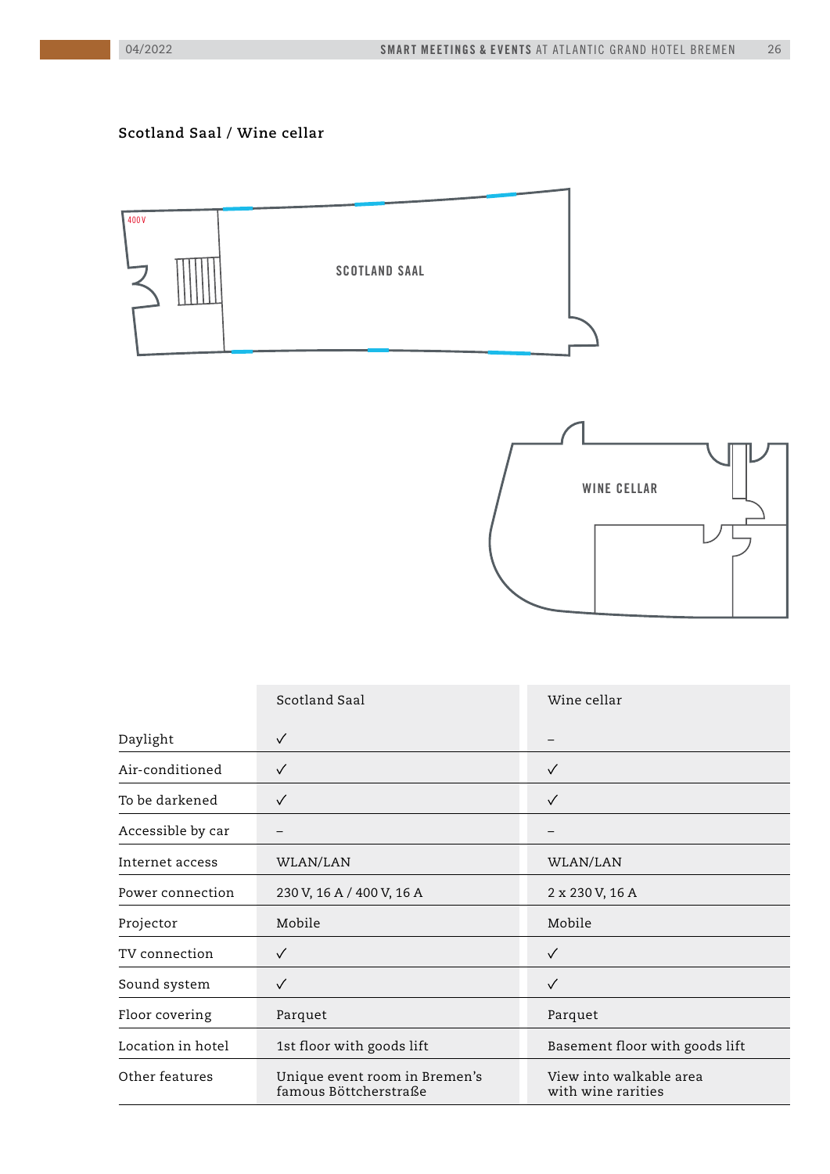#### **Scotland Saal / Wine cellar**





|                   | Scotland Saal                                          | Wine cellar                                   |  |
|-------------------|--------------------------------------------------------|-----------------------------------------------|--|
| Daylight          | $\checkmark$                                           |                                               |  |
| Air-conditioned   | $\checkmark$                                           | $\checkmark$                                  |  |
| To be darkened    | $\checkmark$                                           | $\checkmark$                                  |  |
| Accessible by car |                                                        |                                               |  |
| Internet access   | WLAN/LAN                                               | WLAN/LAN                                      |  |
| Power connection  | 230 V, 16 A / 400 V, 16 A                              | 2 x 230 V, 16 A                               |  |
| Projector         | Mobile                                                 | Mobile                                        |  |
| TV connection     | ✓                                                      | $\checkmark$                                  |  |
| Sound system      | $\checkmark$                                           | $\checkmark$                                  |  |
| Floor covering    | Parquet                                                | Parquet                                       |  |
| Location in hotel | 1st floor with goods lift                              | Basement floor with goods lift                |  |
| Other features    | Unique event room in Bremen's<br>famous Böttcherstraße | View into walkable area<br>with wine rarities |  |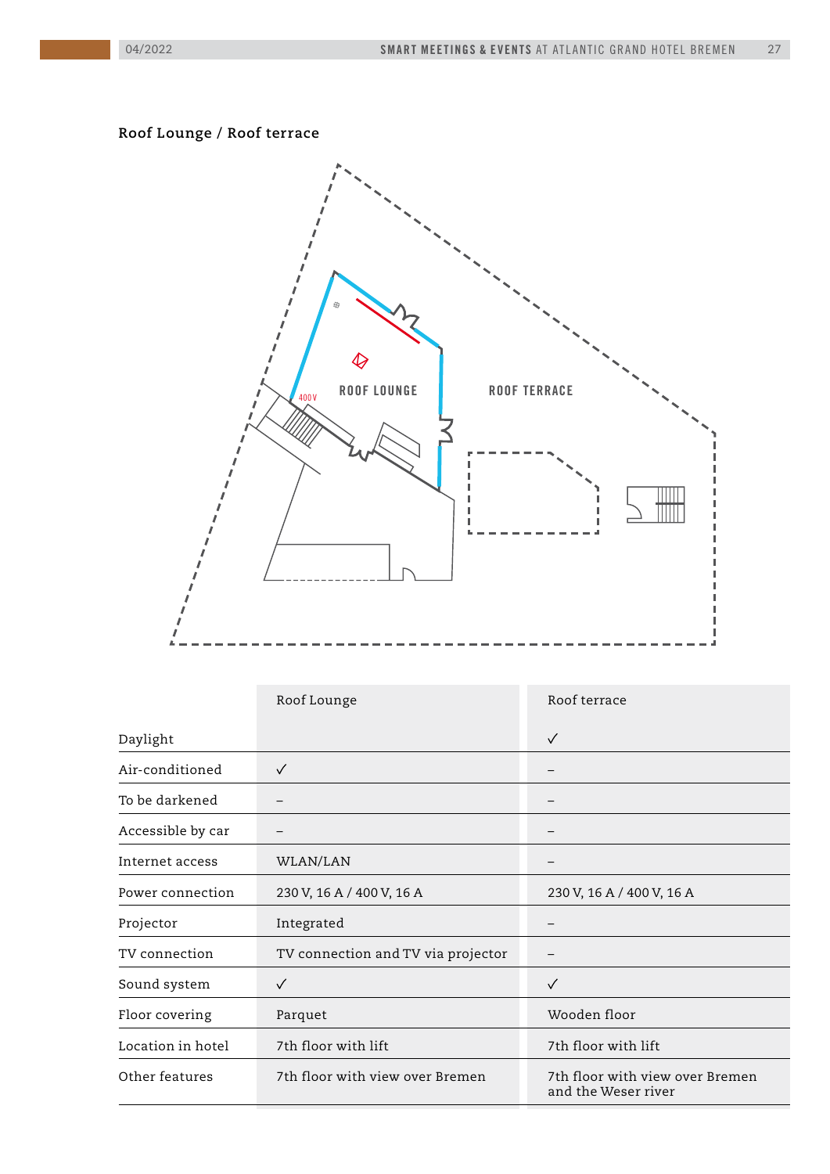### **Roof Lounge / Roof terrace**



|                   | Roof Lounge                        | Roof terrace                                           |  |  |
|-------------------|------------------------------------|--------------------------------------------------------|--|--|
| Daylight          |                                    | $\checkmark$                                           |  |  |
| Air-conditioned   | $\checkmark$                       | $\overline{\phantom{m}}$                               |  |  |
| To be darkened    |                                    |                                                        |  |  |
| Accessible by car |                                    | -                                                      |  |  |
| Internet access   | WLAN/LAN                           |                                                        |  |  |
| Power connection  | 230 V, 16 A / 400 V, 16 A          | 230 V, 16 A / 400 V, 16 A                              |  |  |
| Projector         | Integrated                         |                                                        |  |  |
| TV connection     | TV connection and TV via projector |                                                        |  |  |
| Sound system      | $\checkmark$                       | $\checkmark$                                           |  |  |
| Floor covering    | Parquet                            | Wooden floor                                           |  |  |
| Location in hotel | 7th floor with lift                | 7th floor with lift                                    |  |  |
| Other features    | 7th floor with view over Bremen    | 7th floor with view over Bremen<br>and the Weser river |  |  |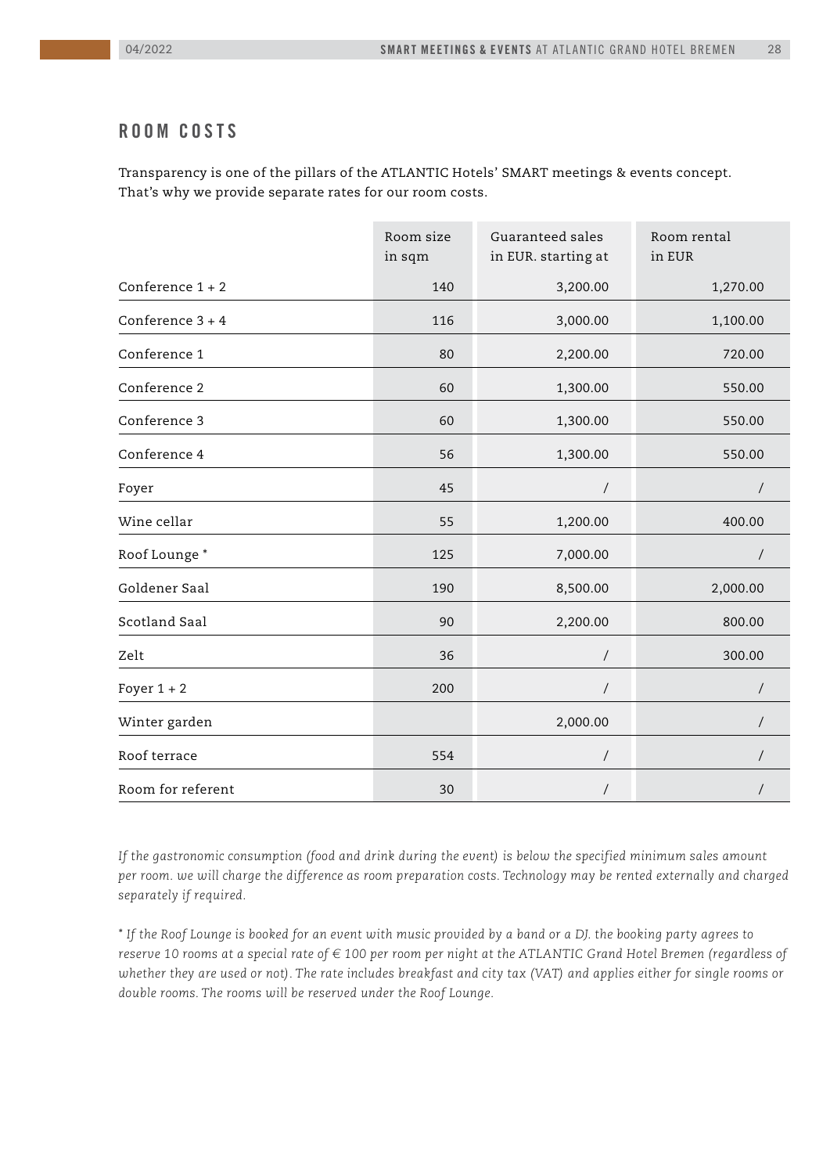#### **Roo m co sts**

Transparency is one of the pillars of the ATLANTIC Hotels' SMART meetings & events concept. That's why we provide separate rates for our room costs.

|                    | Room size<br>in sqm | Guaranteed sales<br>in EUR. starting at | Room rental<br>in EUR |
|--------------------|---------------------|-----------------------------------------|-----------------------|
|                    |                     |                                         |                       |
| Conference $1 + 2$ | 140                 | 3,200.00                                | 1,270.00              |
| Conference $3 + 4$ | 116                 | 3,000.00                                | 1,100.00              |
| Conference 1       | 80                  | 2,200.00                                | 720.00                |
| Conference 2       | 60                  | 1,300.00                                | 550.00                |
| Conference 3       | 60                  | 1,300.00                                | 550.00                |
| Conference 4       | 56                  | 1,300.00                                | 550.00                |
| Foyer              | 45                  | $\overline{\phantom{a}}$                | $\prime$              |
| Wine cellar        | 55                  | 1,200.00                                | 400.00                |
| Roof Lounge*       | 125                 | 7,000.00                                |                       |
| Goldener Saal      | 190                 | 8,500.00                                | 2,000.00              |
| Scotland Saal      | 90                  | 2,200.00                                | 800.00                |
| Zelt               | 36                  | $\sqrt{\phantom{a}}$                    | 300.00                |
| Foyer $1 + 2$      | 200                 | $\overline{ }$                          | $\sqrt{2}$            |
| Winter garden      |                     | 2,000.00                                |                       |
| Roof terrace       | 554                 | $\prime$                                |                       |
| Room for referent  | 30                  | $\overline{ }$                          |                       |

*If the gastronomic consumption (food and drink during the event) is below the specified minimum sales amount per room. we will charge the difference as room preparation costs. Technology may be rented externally and charged separately if required.*

*\* If the Roof Lounge is booked for an event with music provided by a band or a DJ. the booking party agrees to reserve 10 rooms at a special rate of € 100 per room per night at the ATLANTIC Grand Hotel Bremen (regardless of whether they are used or not). The rate includes breakfast and city tax (VAT) and applies either for single rooms or double rooms. The rooms will be reserved under the Roof Lounge.*